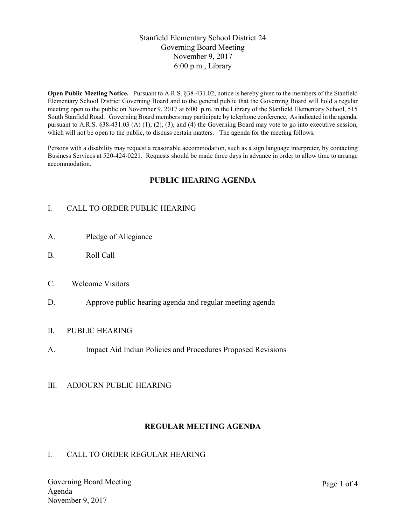## Stanfield Elementary School District 24 Governing Board Meeting November 9, 2017 6:00 p.m., Library

Open Public Meeting Notice. Pursuant to A.R.S. §38-431.02, notice is hereby given to the members of the Stanfield Elementary School District Governing Board and to the general public that the Governing Board will hold a regular meeting open to the public on November 9, 2017 at 6:00 p.m. in the Library of the Stanfield Elementary School, 515 South Stanfield Road. Governing Board members may participate by telephone conference. As indicated in the agenda, pursuant to A.R.S. §38-431.03 (A) (1), (2), (3), and (4) the Governing Board may vote to go into executive session, which will not be open to the public, to discuss certain matters. The agenda for the meeting follows.

Persons with a disability may request a reasonable accommodation, such as a sign language interpreter, by contacting Business Services at 520-424-0221. Requests should be made three days in advance in order to allow time to arrange accommodation.

## PUBLIC HEARING AGENDA

# I. CALL TO ORDER PUBLIC HEARING

- A. Pledge of Allegiance
- B. Roll Call
- C. Welcome Visitors
- D. Approve public hearing agenda and regular meeting agenda

### II. PUBLIC HEARING

A. Impact Aid Indian Policies and Procedures Proposed Revisions

### III. ADJOURN PUBLIC HEARING

### REGULAR MEETING AGENDA

### I. CALL TO ORDER REGULAR HEARING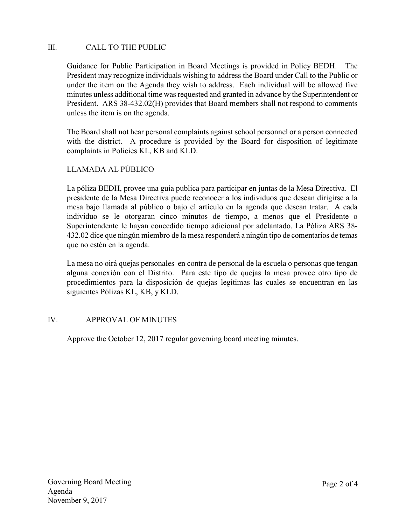## III. CALL TO THE PUBLIC

Guidance for Public Participation in Board Meetings is provided in Policy BEDH. The President may recognize individuals wishing to address the Board under Call to the Public or under the item on the Agenda they wish to address. Each individual will be allowed five minutes unless additional time was requested and granted in advance by the Superintendent or President. ARS 38-432.02(H) provides that Board members shall not respond to comments unless the item is on the agenda.

The Board shall not hear personal complaints against school personnel or a person connected with the district. A procedure is provided by the Board for disposition of legitimate complaints in Policies KL, KB and KLD.

# LLAMADA AL PÚBLICO

La póliza BEDH, provee una guía publica para participar en juntas de la Mesa Directiva. El presidente de la Mesa Directiva puede reconocer a los individuos que desean dirigirse a la mesa bajo llamada al público o bajo el artículo en la agenda que desean tratar. A cada individuo se le otorgaran cinco minutos de tiempo, a menos que el Presidente o Superintendente le hayan concedido tiempo adicional por adelantado. La Póliza ARS 38- 432.02 dice que ningún miembro de la mesa responderá a ningún tipo de comentarios de temas que no estén en la agenda.

La mesa no oirá quejas personales en contra de personal de la escuela o personas que tengan alguna conexión con el Distrito. Para este tipo de quejas la mesa provee otro tipo de procedimientos para la disposición de quejas legítimas las cuales se encuentran en las siguientes Pólizas KL, KB, y KLD.

## IV. APPROVAL OF MINUTES

Approve the October 12, 2017 regular governing board meeting minutes.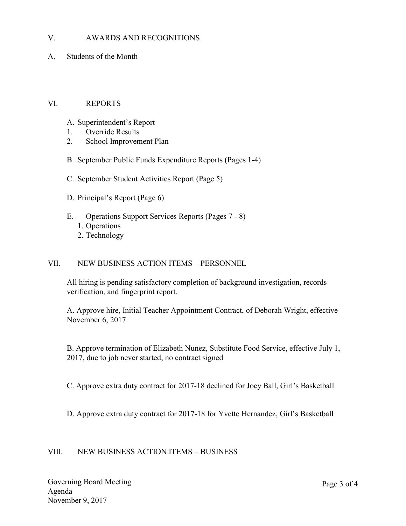### V. AWARDS AND RECOGNITIONS

A. Students of the Month

### VI. REPORTS

- A. Superintendent's Report
- 1. Override Results
- 2. School Improvement Plan
- B. September Public Funds Expenditure Reports (Pages 1-4)
- C. September Student Activities Report (Page 5)
- D. Principal's Report (Page 6)
- E. Operations Support Services Reports (Pages 7 8)
	- 1. Operations
	- 2. Technology

### VII. NEW BUSINESS ACTION ITEMS – PERSONNEL

All hiring is pending satisfactory completion of background investigation, records verification, and fingerprint report.

A. Approve hire, Initial Teacher Appointment Contract, of Deborah Wright, effective November 6, 2017

B. Approve termination of Elizabeth Nunez, Substitute Food Service, effective July 1, 2017, due to job never started, no contract signed

C. Approve extra duty contract for 2017-18 declined for Joey Ball, Girl's Basketball

D. Approve extra duty contract for 2017-18 for Yvette Hernandez, Girl's Basketball

### VIII. NEW BUSINESS ACTION ITEMS – BUSINESS